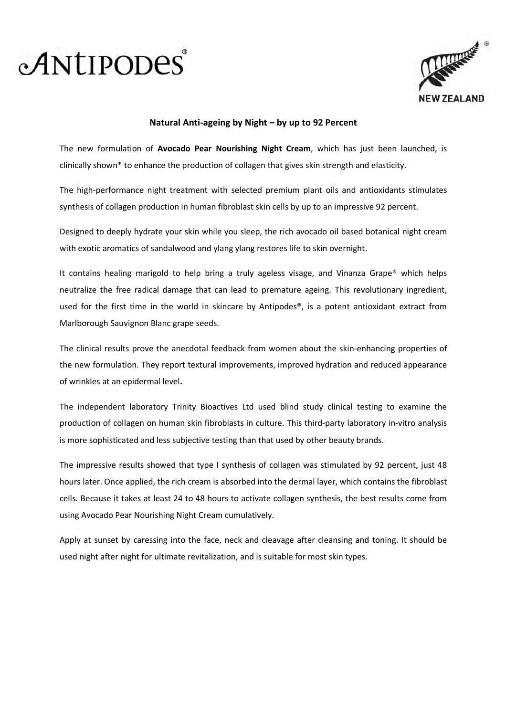



## Natural Anti-ageing by Night – by up to 92 Percent

The new formulation of Avocado Pear Nourishing Night Cream, which has just been launched, is clinically shown\* to enhance the production of collagen that gives skin strength and elasticity.

The high-performance night treatment with selected premium plant oils and antioxidants stimulates synthesis of collagen production in human fibroblast skin cells by up to an impressive 92 percent.

Designed to deeply hydrate your skin while you sleep, the rich avocado oil based botanical night cream with exotic aromatics of sandalwood and ylang ylang restores life to skin overnight.

It contains healing marigold to help bring a truly ageless visage, and Vinanza Grape® which helps neutralize the free radical damage that can lead to premature ageing. This revolutionary ingredient, used for the first time in the world in skincare by Antipodes®, is a potent antioxidant extract from Marlborough Sauvignon Blanc grape seeds.

The clinical results prove the anecdotal feedback from women about the skin-enhancing properties of the new formulation. They report textural improvements, improved hydration and reduced appearance of wrinkles at an epidermal level.

The independent laboratory Trinity Bioactives Ltd used blind study clinical testing to examine the production of collagen on human skin fibroblasts in culture. This third-party laboratory in-vitro analysis is more sophisticated and less subjective testing than that used by other beauty brands.

The impressive results showed that type I synthesis of collagen was stimulated by 92 percent, just 48 hours later. Once applied, the rich cream is absorbed into the dermal layer, which contains the fibroblast cells. Because it takes at least 24 to 48 hours to activate collagen synthesis, the best results come from using Avocado Pear Nourishing Night Cream cumulatively.

Apply at sunset by caressing into the face, neck and cleavage after cleansing and toning. It should be used night after night for ultimate revitalization, and is suitable for most skin types.